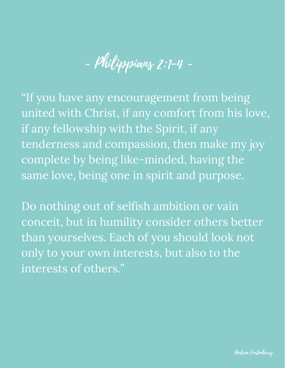$-$  Philippians 2:1-4  $-$ 

"If you have any encouragement from being united with Christ, if any comfort from his love, if any fellowship with the Spirit, if any tenderness and compassion, then make my joy complete by being like-minded, having the same love, being one in spirit and purpose.

Do nothing out of selfish ambition or vain conceit, but in humility consider others better than yourselves. Each of you should look not only to your own interests, but also to the interests of others."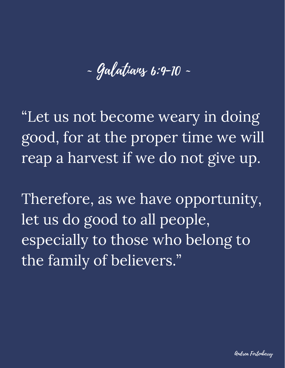~ Galatians 6:9-10 ~

"Let us not become weary in doing good, for at the proper time we will reap a harvest if we do not give up.

Therefore, as we have opportunity, let us do good to all people, especially to those who belong to the family of believers."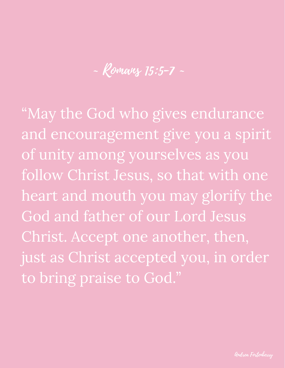~ Romans 15:5-7 ~

"May the God who gives endurance and encouragement give you a spirit of unity among yourselves as you follow Christ Jesus, so that with one heart and mouth you may glorify the God and father of our Lord Jesus Christ. Accept one another, then, just as Christ accepted you, in order to bring praise to God."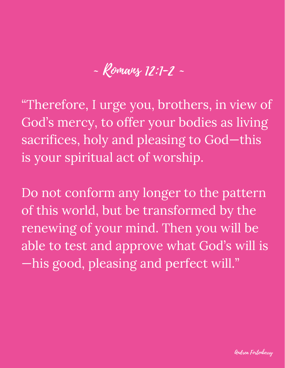## ~ Romans 12:1-2 ~

"Therefore, I urge you, brothers, in view of God's mercy, to offer your bodies as living sacrifices, holy and pleasing to God-this is your spiritual act of worship.

Do not conform any longer to the pattern of this world, but be transformed by the renewing of your mind. Then you will be able to test and approve what God's will is —his good, pleasing and perfect will."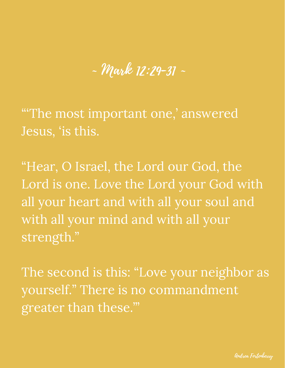~ Mark 12:29-31 ~

"'The most important one, ' answered Jesus, 'is this.

"Hear, O Israel, the Lord our God, the Lord is one. Love the Lord your God with all your heart and with all your soul and with all your mind and with all your strength."

The second is this: "Love your neighbor as yourself." There is no commandment greater than these.'"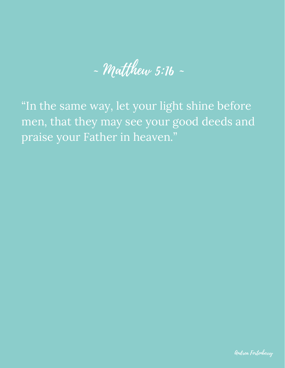$-$  Matthew 5:16  $-$ 

"In the same way, let your light shine before men, that they may see your good deeds and praise your Father in heaven."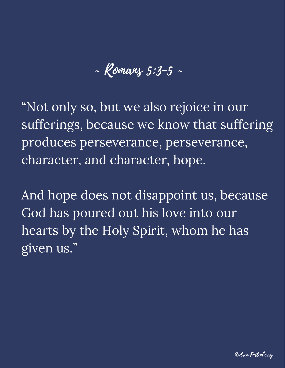~ Romans 5:3-5 ~

"Not only so, but we also rejoice in our sufferings, because we know that suffering produces perseverance, perseverance, character, and character, hope.

And hope does not disappoint us, because God has poured out his love into our hearts by the Holy Spirit, whom he has given us."

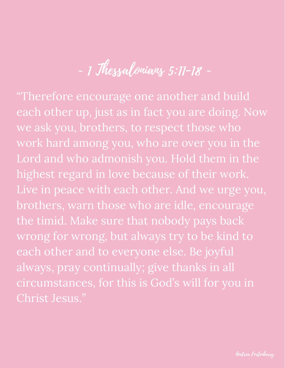$-$  1 Thessalonians 5:11-18  $-$ 

"Therefore encourage one another and build each other up, just as in fact you are doing. Now we ask you, brothers, to respect those who work hard among you, who are over you in the Lord and who admonish you. Hold them in the highest regard in love because of their work. Live in peace with each other. And we urge you, brothers, warn those who are idle, encourage the timid. Make sure that nobody pays back wrong for wrong, but always try to be kind to each other and to everyone else. Be joyful always, pray continually; give thanks in all circumstances, for this is God's will for you in Christ Jesus."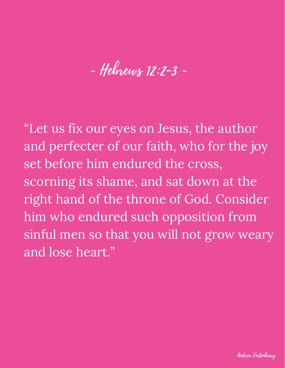## ~ Hebrews 12:2-3 ~

"Let us fix our eyes on Jesus, the author and perfecter of our faith, who for the joy set before him endured the cross, scorning its shame, and sat down at the right hand of the throne of God. Consider him who endured such opposition from sinful men so that you will not grow weary and lose heart."